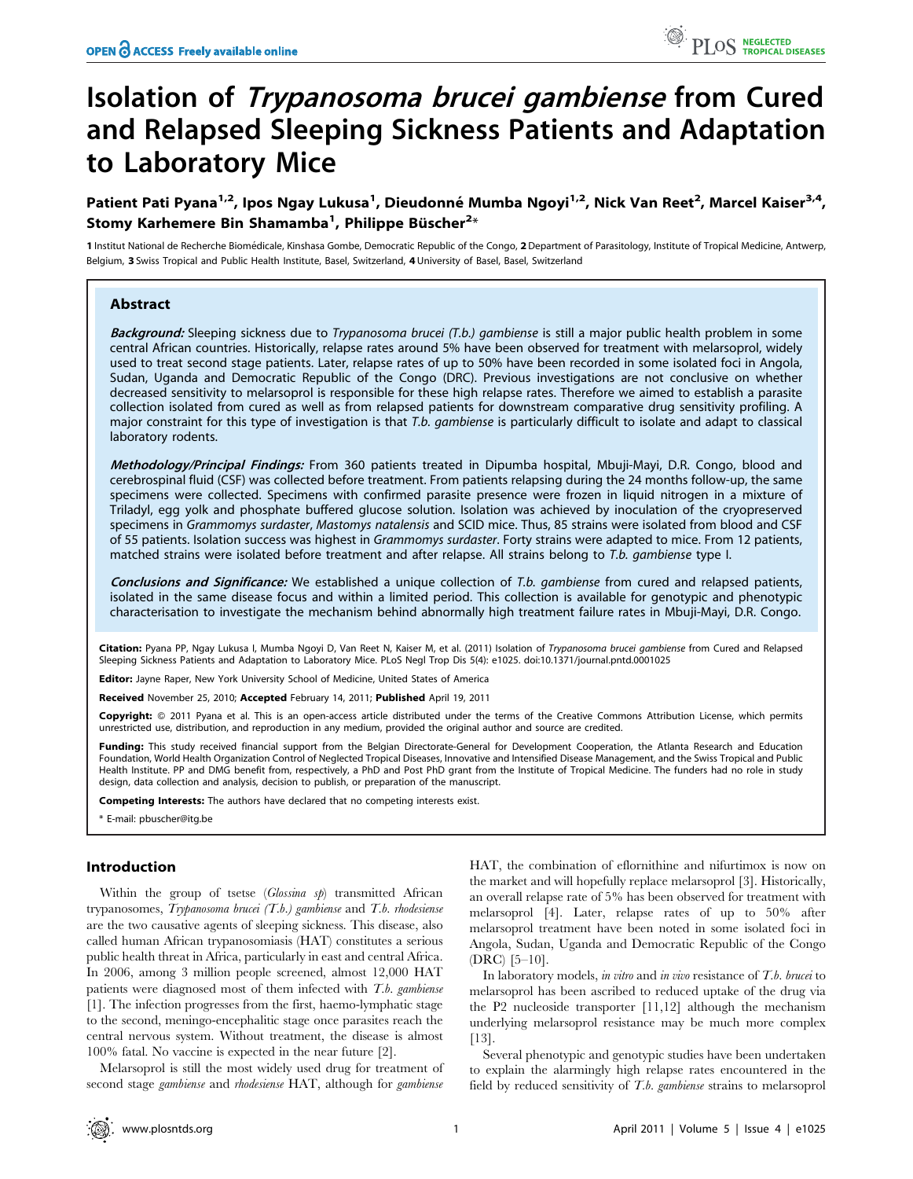# Isolation of Trypanosoma brucei gambiense from Cured and Relapsed Sleeping Sickness Patients and Adaptation to Laboratory Mice

Patient Pati Pyana<sup>1,2</sup>, Ipos Ngay Lukusa<sup>1</sup>, Dieudonné Mumba Ngoyi<sup>1,2</sup>, Nick Van Reet<sup>2</sup>, Marcel Kaiser<sup>3,4</sup>, Stomy Karhemere Bin Shamamba<sup>1</sup>, Philippe Büscher<sup>2</sup>\*

1 Institut National de Recherche Biomédicale, Kinshasa Gombe, Democratic Republic of the Congo, 2 Department of Parasitology, Institute of Tropical Medicine, Antwerp, Belgium, 3 Swiss Tropical and Public Health Institute, Basel, Switzerland, 4 University of Basel, Basel, Switzerland

# Abstract

Background: Sleeping sickness due to Trypanosoma brucei (T.b.) gambiense is still a major public health problem in some central African countries. Historically, relapse rates around 5% have been observed for treatment with melarsoprol, widely used to treat second stage patients. Later, relapse rates of up to 50% have been recorded in some isolated foci in Angola, Sudan, Uganda and Democratic Republic of the Congo (DRC). Previous investigations are not conclusive on whether decreased sensitivity to melarsoprol is responsible for these high relapse rates. Therefore we aimed to establish a parasite collection isolated from cured as well as from relapsed patients for downstream comparative drug sensitivity profiling. A major constraint for this type of investigation is that T.b. gambiense is particularly difficult to isolate and adapt to classical laboratory rodents.

Methodology/Principal Findings: From 360 patients treated in Dipumba hospital, Mbuji-Mayi, D.R. Congo, blood and cerebrospinal fluid (CSF) was collected before treatment. From patients relapsing during the 24 months follow-up, the same specimens were collected. Specimens with confirmed parasite presence were frozen in liquid nitrogen in a mixture of Triladyl, egg yolk and phosphate buffered glucose solution. Isolation was achieved by inoculation of the cryopreserved specimens in Grammomys surdaster, Mastomys natalensis and SCID mice. Thus, 85 strains were isolated from blood and CSF of 55 patients. Isolation success was highest in Grammomys surdaster. Forty strains were adapted to mice. From 12 patients, matched strains were isolated before treatment and after relapse. All strains belong to T.b. gambiense type I.

Conclusions and Significance: We established a unique collection of T.b. gambiense from cured and relapsed patients, isolated in the same disease focus and within a limited period. This collection is available for genotypic and phenotypic characterisation to investigate the mechanism behind abnormally high treatment failure rates in Mbuji-Mayi, D.R. Congo.

Citation: Pyana PP, Ngay Lukusa I, Mumba Ngoyi D, Van Reet N, Kaiser M, et al. (2011) Isolation of Trypanosoma brucei gambiense from Cured and Relapsed Sleeping Sickness Patients and Adaptation to Laboratory Mice. PLoS Negl Trop Dis 5(4): e1025. doi:10.1371/journal.pntd.0001025

Editor: Jayne Raper, New York University School of Medicine, United States of America

Received November 25, 2010; Accepted February 14, 2011; Published April 19, 2011

Copyright: © 2011 Pyana et al. This is an open-access article distributed under the terms of the Creative Commons Attribution License, which permits unrestricted use, distribution, and reproduction in any medium, provided the original author and source are credited.

Funding: This study received financial support from the Belgian Directorate-General for Development Cooperation, the Atlanta Research and Education Foundation, World Health Organization Control of Neglected Tropical Diseases, Innovative and Intensified Disease Management, and the Swiss Tropical and Public Health Institute. PP and DMG benefit from, respectively, a PhD and Post PhD grant from the Institute of Tropical Medicine. The funders had no role in study design, data collection and analysis, decision to publish, or preparation of the manuscript.

Competing Interests: The authors have declared that no competing interests exist.

\* E-mail: pbuscher@itg.be

# Introduction

Within the group of tsetse (Glossina sp) transmitted African trypanosomes, Trypanosoma brucei  $(T.b.)$  gambiense and  $T.b.$  rhodesiense are the two causative agents of sleeping sickness. This disease, also called human African trypanosomiasis (HAT) constitutes a serious public health threat in Africa, particularly in east and central Africa. In 2006, among 3 million people screened, almost 12,000 HAT patients were diagnosed most of them infected with T.b. gambiense [1]. The infection progresses from the first, haemo-lymphatic stage to the second, meningo-encephalitic stage once parasites reach the central nervous system. Without treatment, the disease is almost 100% fatal. No vaccine is expected in the near future [2].

Melarsoprol is still the most widely used drug for treatment of second stage *gambiense* and *rhodesiense* HAT, although for *gambiense* 

HAT, the combination of eflornithine and nifurtimox is now on the market and will hopefully replace melarsoprol [3]. Historically, an overall relapse rate of 5% has been observed for treatment with melarsoprol [4]. Later, relapse rates of up to 50% after melarsoprol treatment have been noted in some isolated foci in Angola, Sudan, Uganda and Democratic Republic of the Congo (DRC) [5–10].

In laboratory models, in vitro and in vivo resistance of  $T.b.$  brucei to melarsoprol has been ascribed to reduced uptake of the drug via the P2 nucleoside transporter [11,12] although the mechanism underlying melarsoprol resistance may be much more complex [13].

Several phenotypic and genotypic studies have been undertaken to explain the alarmingly high relapse rates encountered in the field by reduced sensitivity of T.b. gambiense strains to melarsoprol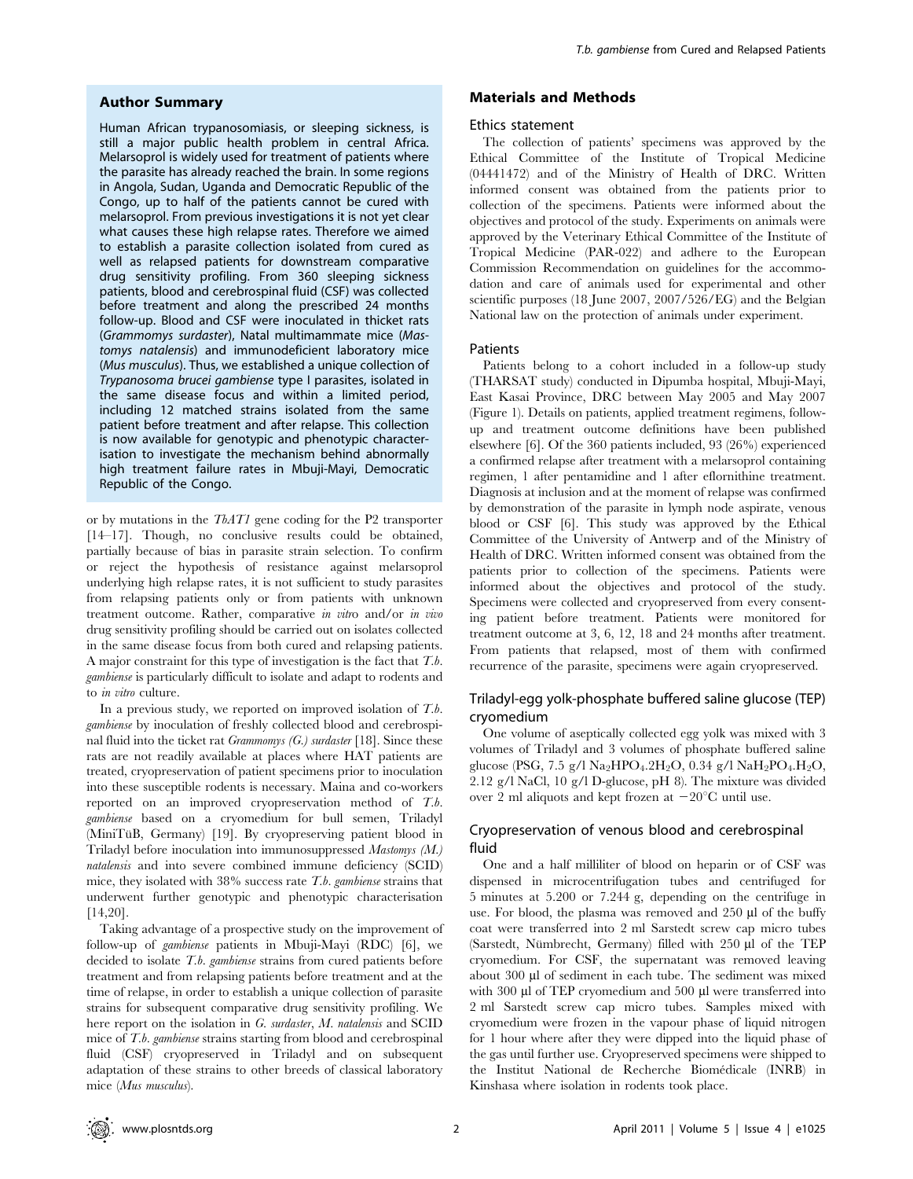#### Author Summary

Human African trypanosomiasis, or sleeping sickness, is still a major public health problem in central Africa. Melarsoprol is widely used for treatment of patients where the parasite has already reached the brain. In some regions in Angola, Sudan, Uganda and Democratic Republic of the Congo, up to half of the patients cannot be cured with melarsoprol. From previous investigations it is not yet clear what causes these high relapse rates. Therefore we aimed to establish a parasite collection isolated from cured as well as relapsed patients for downstream comparative drug sensitivity profiling. From 360 sleeping sickness patients, blood and cerebrospinal fluid (CSF) was collected before treatment and along the prescribed 24 months follow-up. Blood and CSF were inoculated in thicket rats (Grammomys surdaster), Natal multimammate mice (Mastomys natalensis) and immunodeficient laboratory mice (Mus musculus). Thus, we established a unique collection of Trypanosoma brucei gambiense type I parasites, isolated in the same disease focus and within a limited period, including 12 matched strains isolated from the same patient before treatment and after relapse. This collection is now available for genotypic and phenotypic characterisation to investigate the mechanism behind abnormally high treatment failure rates in Mbuji-Mayi, Democratic Republic of the Congo.

or by mutations in the TbAT1 gene coding for the P2 transporter [14–17]. Though, no conclusive results could be obtained, partially because of bias in parasite strain selection. To confirm or reject the hypothesis of resistance against melarsoprol underlying high relapse rates, it is not sufficient to study parasites from relapsing patients only or from patients with unknown treatment outcome. Rather, comparative in vitro and/or in vivo drug sensitivity profiling should be carried out on isolates collected in the same disease focus from both cured and relapsing patients. A major constraint for this type of investigation is the fact that T.b. gambiense is particularly difficult to isolate and adapt to rodents and to in vitro culture.

In a previous study, we reported on improved isolation of  $T.b$ . gambiense by inoculation of freshly collected blood and cerebrospinal fluid into the ticket rat Grammomys (G.) surdaster [18]. Since these rats are not readily available at places where HAT patients are treated, cryopreservation of patient specimens prior to inoculation into these susceptible rodents is necessary. Maina and co-workers reported on an improved cryopreservation method of T.b. gambiense based on a cryomedium for bull semen, Triladyl (MiniTüB, Germany) [19]. By cryopreserving patient blood in Triladyl before inoculation into immunosuppressed Mastomys (M.) natalensis and into severe combined immune deficiency (SCID) mice, they isolated with  $38\%$  success rate T.b. gambiense strains that underwent further genotypic and phenotypic characterisation [14,20].

Taking advantage of a prospective study on the improvement of follow-up of gambiense patients in Mbuji-Mayi (RDC) [6], we decided to isolate T.b. gambiense strains from cured patients before treatment and from relapsing patients before treatment and at the time of relapse, in order to establish a unique collection of parasite strains for subsequent comparative drug sensitivity profiling. We here report on the isolation in G. surdaster, M. natalensis and SCID mice of T.b. gambiense strains starting from blood and cerebrospinal fluid (CSF) cryopreserved in Triladyl and on subsequent adaptation of these strains to other breeds of classical laboratory mice (Mus musculus).

# Materials and Methods

#### Ethics statement

The collection of patients' specimens was approved by the Ethical Committee of the Institute of Tropical Medicine (04441472) and of the Ministry of Health of DRC. Written informed consent was obtained from the patients prior to collection of the specimens. Patients were informed about the objectives and protocol of the study. Experiments on animals were approved by the Veterinary Ethical Committee of the Institute of Tropical Medicine (PAR-022) and adhere to the European Commission Recommendation on guidelines for the accommodation and care of animals used for experimental and other scientific purposes (18 June 2007, 2007/526/EG) and the Belgian National law on the protection of animals under experiment.

# Patients

Patients belong to a cohort included in a follow-up study (THARSAT study) conducted in Dipumba hospital, Mbuji-Mayi, East Kasai Province, DRC between May 2005 and May 2007 (Figure 1). Details on patients, applied treatment regimens, followup and treatment outcome definitions have been published elsewhere [6]. Of the 360 patients included, 93 (26%) experienced a confirmed relapse after treatment with a melarsoprol containing regimen, 1 after pentamidine and 1 after eflornithine treatment. Diagnosis at inclusion and at the moment of relapse was confirmed by demonstration of the parasite in lymph node aspirate, venous blood or CSF [6]. This study was approved by the Ethical Committee of the University of Antwerp and of the Ministry of Health of DRC. Written informed consent was obtained from the patients prior to collection of the specimens. Patients were informed about the objectives and protocol of the study. Specimens were collected and cryopreserved from every consenting patient before treatment. Patients were monitored for treatment outcome at 3, 6, 12, 18 and 24 months after treatment. From patients that relapsed, most of them with confirmed recurrence of the parasite, specimens were again cryopreserved.

# Triladyl-egg yolk-phosphate buffered saline glucose (TEP) cryomedium

One volume of aseptically collected egg yolk was mixed with 3 volumes of Triladyl and 3 volumes of phosphate buffered saline glucose (PSG, 7.5 g/l Na2HPO4.2H2O, 0.34 g/l NaH2PO4.H2O, 2.12 g/l NaCl, 10 g/l D-glucose, pH 8). The mixture was divided over 2 ml aliquots and kept frozen at  $-20^{\circ}$ C until use.

# Cryopreservation of venous blood and cerebrospinal fluid

One and a half milliliter of blood on heparin or of CSF was dispensed in microcentrifugation tubes and centrifuged for 5 minutes at 5.200 or 7.244 g, depending on the centrifuge in use. For blood, the plasma was removed and 250 µl of the buffy coat were transferred into 2 ml Sarstedt screw cap micro tubes (Sarstedt, Nümbrecht, Germany) filled with  $250 \mu l$  of the TEP cryomedium. For CSF, the supernatant was removed leaving about 300 µl of sediment in each tube. The sediment was mixed with 300 µl of TEP cryomedium and 500 µl were transferred into 2 ml Sarstedt screw cap micro tubes. Samples mixed with cryomedium were frozen in the vapour phase of liquid nitrogen for 1 hour where after they were dipped into the liquid phase of the gas until further use. Cryopreserved specimens were shipped to the Institut National de Recherche Biomédicale (INRB) in Kinshasa where isolation in rodents took place.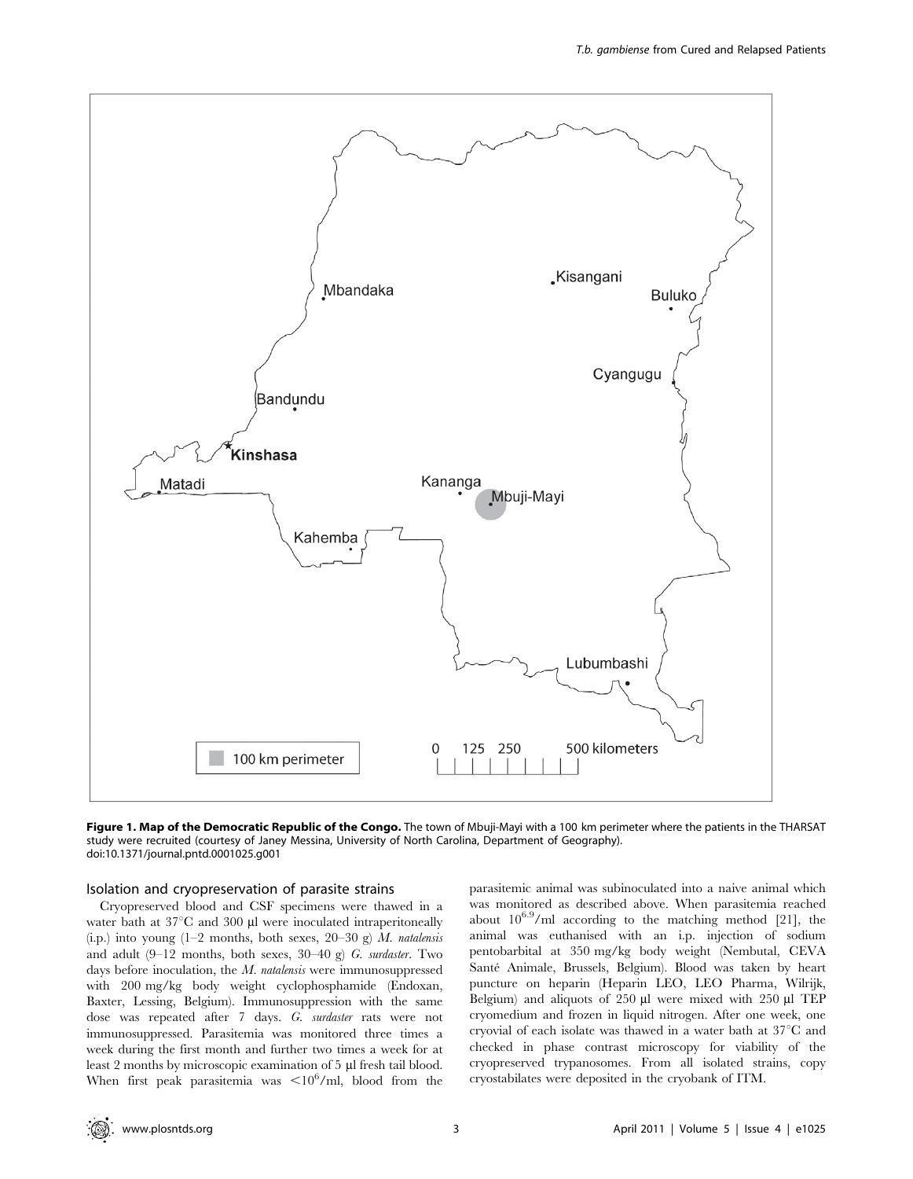

Figure 1. Map of the Democratic Republic of the Congo. The town of Mbuji-Mayi with a 100 km perimeter where the patients in the THARSAT study were recruited (courtesy of Janey Messina, University of North Carolina, Department of Geography). doi:10.1371/journal.pntd.0001025.g001

#### Isolation and cryopreservation of parasite strains

Cryopreserved blood and CSF specimens were thawed in a water bath at  $37^{\circ}$ C and 300 µl were inoculated intraperitoneally (i.p.) into young (1–2 months, both sexes, 20–30 g)  $M$ . natalensis and adult  $(9-12 \text{ months}, \text{both sexes}, 30-40 \text{ g})$  G. surdaster. Two days before inoculation, the *M. natalensis* were immunosuppressed with 200 mg/kg body weight cyclophosphamide (Endoxan, Baxter, Lessing, Belgium). Immunosuppression with the same dose was repeated after 7 days. G. surdaster rats were not immunosuppressed. Parasitemia was monitored three times a week during the first month and further two times a week for at least 2 months by microscopic examination of 5 µl fresh tail blood. When first peak parasitemia was  $\langle 10^6 \text{/ml} \rangle$ , blood from the

parasitemic animal was subinoculated into a naive animal which was monitored as described above. When parasitemia reached about  $10^{6.9}$ /ml according to the matching method [21], the animal was euthanised with an i.p. injection of sodium pentobarbital at 350 mg/kg body weight (Nembutal, CEVA Santé Animale, Brussels, Belgium). Blood was taken by heart puncture on heparin (Heparin LEO, LEO Pharma, Wilrijk, Belgium) and aliquots of  $250 \mu l$  were mixed with  $250 \mu l$  TEP cryomedium and frozen in liquid nitrogen. After one week, one cryovial of each isolate was thawed in a water bath at  $37^{\circ}$ C and checked in phase contrast microscopy for viability of the cryopreserved trypanosomes. From all isolated strains, copy cryostabilates were deposited in the cryobank of ITM.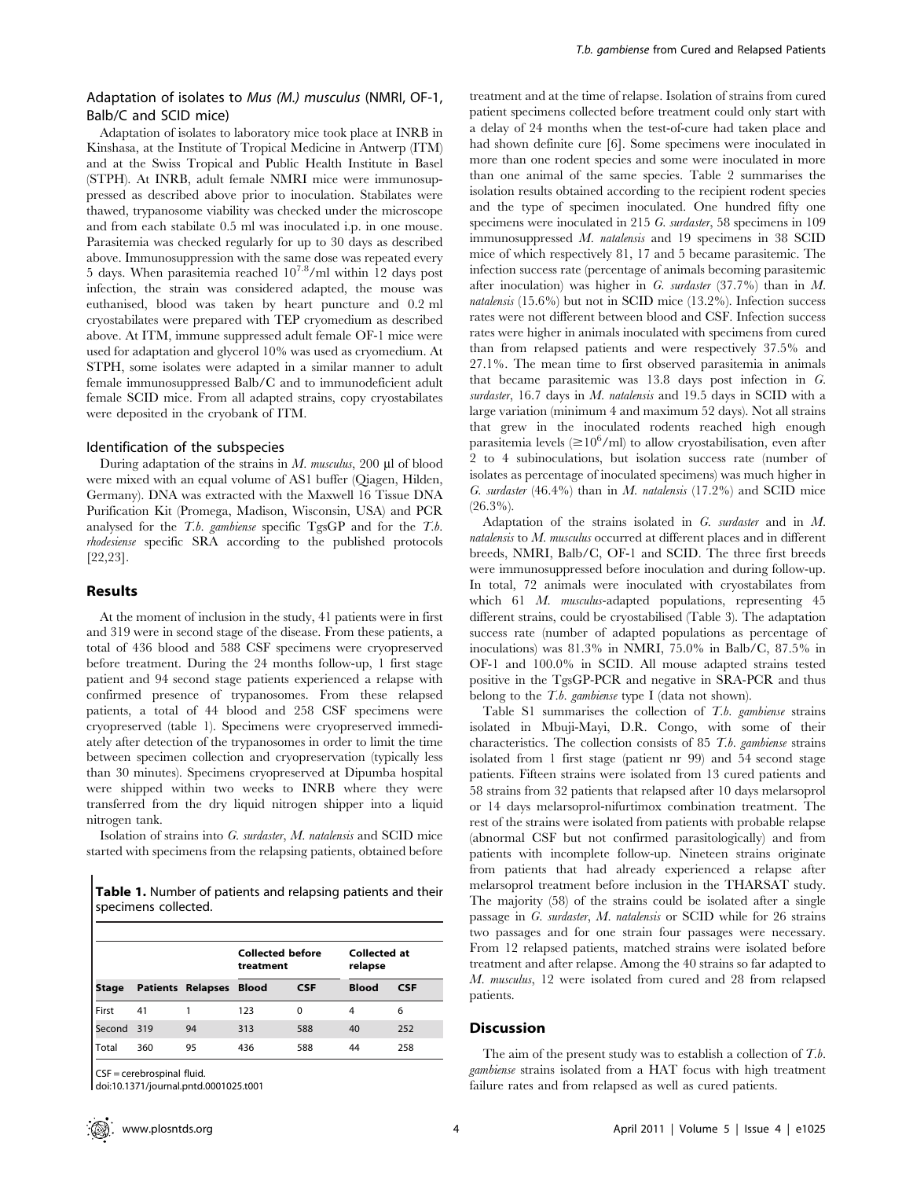# Adaptation of isolates to Mus (M.) musculus (NMRI, OF-1, Balb/C and SCID mice)

Adaptation of isolates to laboratory mice took place at INRB in Kinshasa, at the Institute of Tropical Medicine in Antwerp (ITM) and at the Swiss Tropical and Public Health Institute in Basel (STPH). At INRB, adult female NMRI mice were immunosuppressed as described above prior to inoculation. Stabilates were thawed, trypanosome viability was checked under the microscope and from each stabilate 0.5 ml was inoculated i.p. in one mouse. Parasitemia was checked regularly for up to 30 days as described above. Immunosuppression with the same dose was repeated every 5 days. When parasitemia reached  $10^{7.8}$ /ml within 12 days post infection, the strain was considered adapted, the mouse was euthanised, blood was taken by heart puncture and 0.2 ml cryostabilates were prepared with TEP cryomedium as described above. At ITM, immune suppressed adult female OF-1 mice were used for adaptation and glycerol 10% was used as cryomedium. At STPH, some isolates were adapted in a similar manner to adult female immunosuppressed Balb/C and to immunodeficient adult female SCID mice. From all adapted strains, copy cryostabilates were deposited in the cryobank of ITM.

#### Identification of the subspecies

During adaptation of the strains in  $M$ . musculus, 200  $\mu$ l of blood were mixed with an equal volume of AS1 buffer (Qiagen, Hilden, Germany). DNA was extracted with the Maxwell 16 Tissue DNA Purification Kit (Promega, Madison, Wisconsin, USA) and PCR analysed for the T.b. gambiense specific TgsGP and for the T.b. rhodesiense specific SRA according to the published protocols [22,23].

## Results

At the moment of inclusion in the study, 41 patients were in first and 319 were in second stage of the disease. From these patients, a total of 436 blood and 588 CSF specimens were cryopreserved before treatment. During the 24 months follow-up, 1 first stage patient and 94 second stage patients experienced a relapse with confirmed presence of trypanosomes. From these relapsed patients, a total of 44 blood and 258 CSF specimens were cryopreserved (table 1). Specimens were cryopreserved immediately after detection of the trypanosomes in order to limit the time between specimen collection and cryopreservation (typically less than 30 minutes). Specimens cryopreserved at Dipumba hospital were shipped within two weeks to INRB where they were transferred from the dry liquid nitrogen shipper into a liquid nitrogen tank.

Isolation of strains into G. surdaster, M. natalensis and SCID mice started with specimens from the relapsing patients, obtained before

Table 1. Number of patients and relapsing patients and their specimens collected.

|            |     | <b>Collected before</b><br>treatment |     | relapse    | <b>Collected at</b> |            |
|------------|-----|--------------------------------------|-----|------------|---------------------|------------|
| Stage      |     | <b>Patients Relapses Blood</b>       |     | <b>CSF</b> | <b>Blood</b>        | <b>CSF</b> |
| First      | 41  |                                      | 123 | 0          | 4                   | 6          |
| Second 319 |     | 94                                   | 313 | 588        | 40                  | 252        |
| Total      | 360 | 95                                   | 436 | 588        | 44                  | 258        |

CSF = cerebrospinal fluid.

doi:10.1371/journal.pntd.0001025.t001

treatment and at the time of relapse. Isolation of strains from cured patient specimens collected before treatment could only start with a delay of 24 months when the test-of-cure had taken place and had shown definite cure [6]. Some specimens were inoculated in more than one rodent species and some were inoculated in more than one animal of the same species. Table 2 summarises the isolation results obtained according to the recipient rodent species and the type of specimen inoculated. One hundred fifty one specimens were inoculated in 215 G. *surdaster*, 58 specimens in 109 immunosuppressed M. natalensis and 19 specimens in 38 SCID mice of which respectively 81, 17 and 5 became parasitemic. The infection success rate (percentage of animals becoming parasitemic after inoculation) was higher in G. surdaster  $(37.7%)$  than in M. natalensis (15.6%) but not in SCID mice (13.2%). Infection success rates were not different between blood and CSF. Infection success rates were higher in animals inoculated with specimens from cured than from relapsed patients and were respectively 37.5% and 27.1%. The mean time to first observed parasitemia in animals that became parasitemic was 13.8 days post infection in G. surdaster, 16.7 days in M. natalensis and 19.5 days in SCID with a large variation (minimum 4 and maximum 52 days). Not all strains that grew in the inoculated rodents reached high enough parasitemia levels ( $\geq 10^6$ /ml) to allow cryostabilisation, even after 2 to 4 subinoculations, but isolation success rate (number of isolates as percentage of inoculated specimens) was much higher in G. surdaster  $(46.4\%)$  than in M. natalensis  $(17.2\%)$  and SCID mice  $(26.3\%)$ .

Adaptation of the strains isolated in  $G$ , surdaster and in  $M$ .  $natalensis$  to  $M$ .  $musculus$  occurred at different places and in different breeds, NMRI, Balb/C, OF-1 and SCID. The three first breeds were immunosuppressed before inoculation and during follow-up. In total, 72 animals were inoculated with cryostabilates from which 61 M. musculus-adapted populations, representing 45 different strains, could be cryostabilised (Table 3). The adaptation success rate (number of adapted populations as percentage of inoculations) was 81.3% in NMRI, 75.0% in Balb/C, 87.5% in OF-1 and 100.0% in SCID. All mouse adapted strains tested positive in the TgsGP-PCR and negative in SRA-PCR and thus belong to the *T.b. gambiense* type I (data not shown).

Table S1 summarises the collection of T.b. gambiense strains isolated in Mbuji-Mayi, D.R. Congo, with some of their characteristics. The collection consists of 85 T.b. gambiense strains isolated from 1 first stage (patient nr 99) and 54 second stage patients. Fifteen strains were isolated from 13 cured patients and 58 strains from 32 patients that relapsed after 10 days melarsoprol or 14 days melarsoprol-nifurtimox combination treatment. The rest of the strains were isolated from patients with probable relapse (abnormal CSF but not confirmed parasitologically) and from patients with incomplete follow-up. Nineteen strains originate from patients that had already experienced a relapse after melarsoprol treatment before inclusion in the THARSAT study. The majority (58) of the strains could be isolated after a single passage in G. surdaster, M. natalensis or SCID while for 26 strains two passages and for one strain four passages were necessary. From 12 relapsed patients, matched strains were isolated before treatment and after relapse. Among the 40 strains so far adapted to M. musculus, 12 were isolated from cured and 28 from relapsed patients.

# **Discussion**

The aim of the present study was to establish a collection of T.b. gambiense strains isolated from a HAT focus with high treatment failure rates and from relapsed as well as cured patients.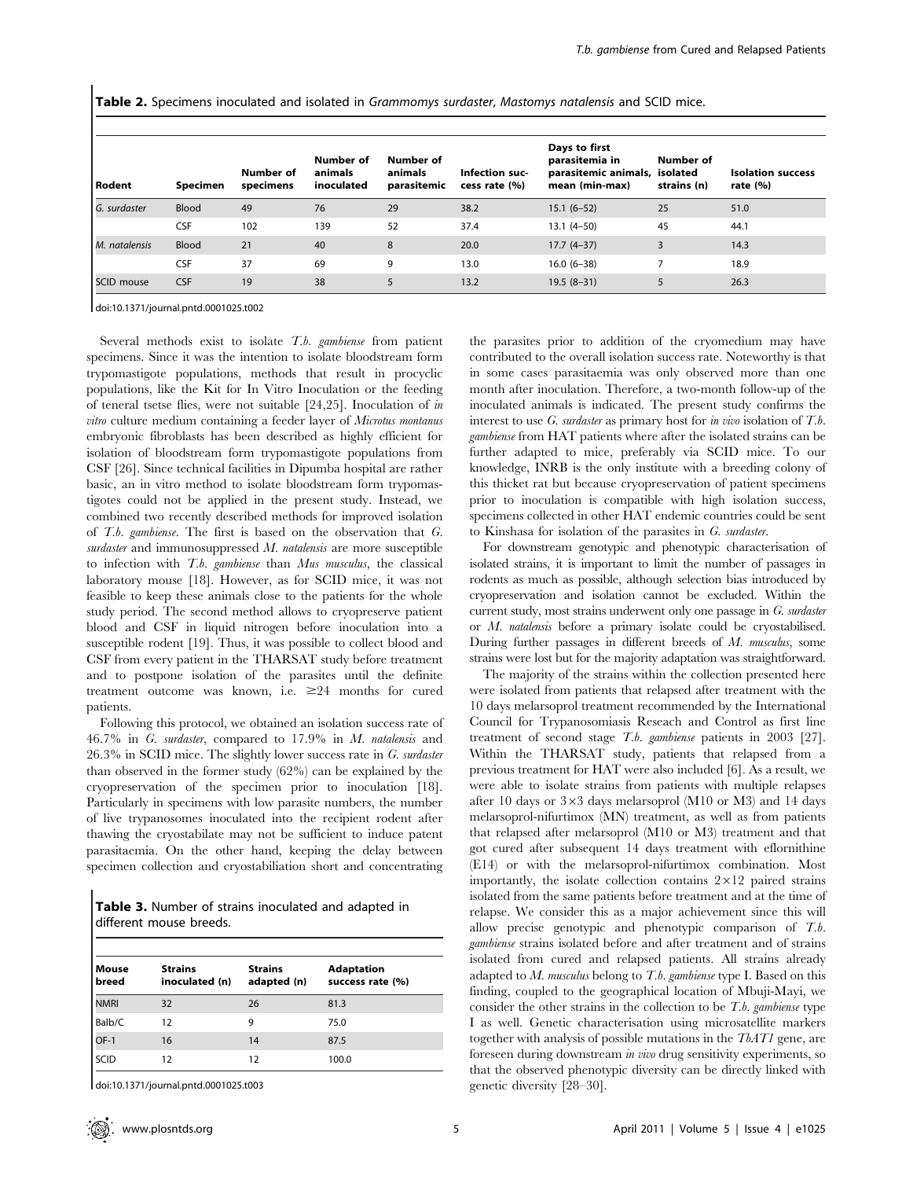Table 2. Specimens inoculated and isolated in Grammomys surdaster, Mastomys natalensis and SCID mice.

| l Rodent          | Specimen     | Number of<br>specimens | Number of<br>animals<br>inoculated | Number of<br>animals<br>parasitemic | Infection suc-<br>cess rate (%) | Days to first<br>parasitemia in<br>parasitemic animals, isolated<br>mean (min-max) | Number of<br>strains (n) | <b>Isolation success</b><br>rate $(%)$ |
|-------------------|--------------|------------------------|------------------------------------|-------------------------------------|---------------------------------|------------------------------------------------------------------------------------|--------------------------|----------------------------------------|
| G. surdaster      | <b>Blood</b> | 49                     | 76                                 | 29                                  | 38.2                            | $15.1 (6 - 52)$                                                                    | 25                       | 51.0                                   |
|                   | <b>CSF</b>   | 102                    | 139                                | 52                                  | 37.4                            | $13.1 (4 - 50)$                                                                    | 45                       | 44.1                                   |
| M. natalensis     | <b>Blood</b> | 21                     | 40                                 | 8                                   | 20.0                            | $17.7(4-37)$                                                                       | 3                        | 14.3                                   |
|                   | <b>CSF</b>   | 37                     | 69                                 | 9                                   | 13.0                            | $16.0(6-38)$                                                                       |                          | 18.9                                   |
| <b>SCID mouse</b> | <b>CSF</b>   | 19                     | 38                                 | 5                                   | 13.2                            | $19.5(8-31)$                                                                       |                          | 26.3                                   |

doi:10.1371/journal.pntd.0001025.t002

Several methods exist to isolate T.b. gambiense from patient specimens. Since it was the intention to isolate bloodstream form trypomastigote populations, methods that result in procyclic populations, like the Kit for In Vitro Inoculation or the feeding of teneral tsetse flies, were not suitable  $[24,25]$ . Inoculation of in vitro culture medium containing a feeder layer of Microtus montanus embryonic fibroblasts has been described as highly efficient for isolation of bloodstream form trypomastigote populations from CSF [26]. Since technical facilities in Dipumba hospital are rather basic, an in vitro method to isolate bloodstream form trypomastigotes could not be applied in the present study. Instead, we combined two recently described methods for improved isolation of T.b. gambiense. The first is based on the observation that G. surdaster and immunosuppressed M. natalensis are more susceptible to infection with T.b. gambiense than Mus musculus, the classical laboratory mouse [18]. However, as for SCID mice, it was not feasible to keep these animals close to the patients for the whole study period. The second method allows to cryopreserve patient blood and CSF in liquid nitrogen before inoculation into a susceptible rodent [19]. Thus, it was possible to collect blood and CSF from every patient in the THARSAT study before treatment and to postpone isolation of the parasites until the definite treatment outcome was known, i.e.  $\geq 24$  months for cured patients.

Following this protocol, we obtained an isolation success rate of 46.7% in G. surdaster, compared to 17.9% in M. natalensis and 26.3% in SCID mice. The slightly lower success rate in G. surdaster than observed in the former study (62%) can be explained by the cryopreservation of the specimen prior to inoculation [18]. Particularly in specimens with low parasite numbers, the number of live trypanosomes inoculated into the recipient rodent after thawing the cryostabilate may not be sufficient to induce patent parasitaemia. On the other hand, keeping the delay between specimen collection and cryostabiliation short and concentrating

Table 3. Number of strains inoculated and adapted in different mouse breeds.

| Mouse<br>breed | <b>Strains</b><br>inoculated (n) | <b>Strains</b><br>adapted (n) | <b>Adaptation</b><br>success rate (%) |
|----------------|----------------------------------|-------------------------------|---------------------------------------|
| <b>NMRI</b>    | 32                               | 26                            | 81.3                                  |
| Balb/C         | 12                               | 9                             | 75.0                                  |
| OF-1           | 16                               | 14                            | 87.5                                  |
| SCID           | 12                               | 12                            | 100.0                                 |

doi:10.1371/journal.pntd.0001025.t003

the parasites prior to addition of the cryomedium may have contributed to the overall isolation success rate. Noteworthy is that in some cases parasitaemia was only observed more than one month after inoculation. Therefore, a two-month follow-up of the inoculated animals is indicated. The present study confirms the interest to use  $G$ . *surdaster* as primary host for *in vivo* isolation of  $T.b$ . gambiense from HAT patients where after the isolated strains can be further adapted to mice, preferably via SCID mice. To our knowledge, INRB is the only institute with a breeding colony of this thicket rat but because cryopreservation of patient specimens prior to inoculation is compatible with high isolation success, specimens collected in other HAT endemic countries could be sent to Kinshasa for isolation of the parasites in G. surdaster.

For downstream genotypic and phenotypic characterisation of isolated strains, it is important to limit the number of passages in rodents as much as possible, although selection bias introduced by cryopreservation and isolation cannot be excluded. Within the current study, most strains underwent only one passage in G. surdaster or M. natalensis before a primary isolate could be cryostabilised. During further passages in different breeds of M. musculus, some strains were lost but for the majority adaptation was straightforward.

The majority of the strains within the collection presented here were isolated from patients that relapsed after treatment with the 10 days melarsoprol treatment recommended by the International Council for Trypanosomiasis Reseach and Control as first line treatment of second stage T.b. gambiense patients in 2003 [27]. Within the THARSAT study, patients that relapsed from a previous treatment for HAT were also included [6]. As a result, we were able to isolate strains from patients with multiple relapses after 10 days or  $3\times3$  days melarsoprol (M10 or M3) and 14 days melarsoprol-nifurtimox (MN) treatment, as well as from patients that relapsed after melarsoprol (M10 or M3) treatment and that got cured after subsequent 14 days treatment with eflornithine (E14) or with the melarsoprol-nifurtimox combination. Most importantly, the isolate collection contains  $2\times12$  paired strains isolated from the same patients before treatment and at the time of relapse. We consider this as a major achievement since this will allow precise genotypic and phenotypic comparison of T.b. gambiense strains isolated before and after treatment and of strains isolated from cured and relapsed patients. All strains already adapted to  $M$ . musculus belong to  $T.b.$  gambiense type I. Based on this finding, coupled to the geographical location of Mbuji-Mayi, we consider the other strains in the collection to be  $T.b.$  gambiense type I as well. Genetic characterisation using microsatellite markers together with analysis of possible mutations in the TbAT1 gene, are foreseen during downstream in vivo drug sensitivity experiments, so that the observed phenotypic diversity can be directly linked with genetic diversity [28–30].